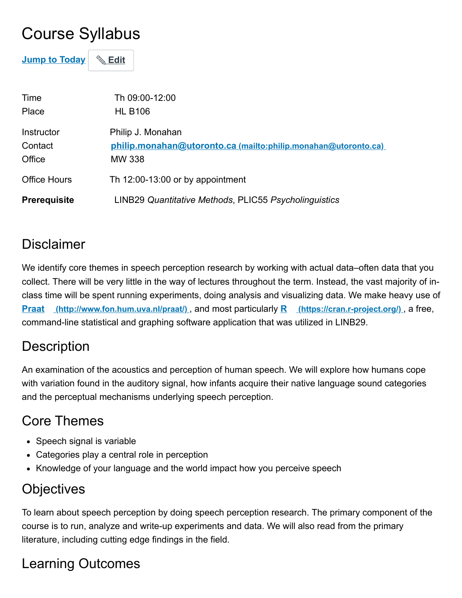# Course Syllabus

**Jump to Today** & Edit

| Time                            | Th 09:00-12:00                                                                                       |
|---------------------------------|------------------------------------------------------------------------------------------------------|
| Place                           | <b>HL B106</b>                                                                                       |
| Instructor<br>Contact<br>Office | Philip J. Monahan<br>philip.monahan@utoronto.ca (mailto:philip.monahan@utoronto.ca)<br><b>MW 338</b> |
| <b>Office Hours</b>             | Th $12:00-13:00$ or by appointment                                                                   |
| <b>Prerequisite</b>             | LINB29 Quantitative Methods, PLIC55 Psycholinguistics                                                |

#### **Disclaimer**

We identify core themes in speech perception research by working with actual data–often data that you collect. There will be very little in the way of lectures throughout the term. Instead, the vast majority of inclass time will be spent running experiments, doing analysis and visualizing data. We make heavy use of **Praat (http://www.fon.hum.uva.nl/praat/)** , and most particularly **R (https://cran.r-project.org/)** , a free, command-line statistical and graphing software application that was utilized in LINB29.

### **Description**

An examination of the acoustics and perception of human speech. We will explore how humans cope with variation found in the auditory signal, how infants acquire their native language sound categories and the perceptual mechanisms underlying speech perception.

## Core Themes

- Speech signal is variable
- Categories play a central role in perception
- Knowledge of your language and the world impact how you perceive speech

## **Objectives**

To learn about speech perception by doing speech perception research. The primary component of the course is to run, analyze and write-up experiments and data. We will also read from the primary literature, including cutting edge findings in the field.

# Learning Outcomes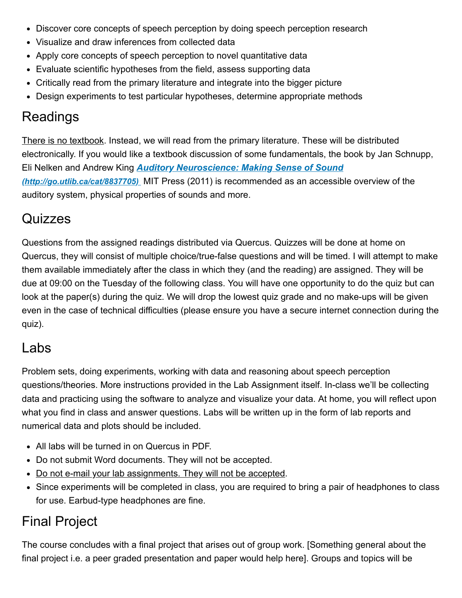- Discover core concepts of speech perception by doing speech perception research
- Visualize and draw inferences from collected data
- Apply core concepts of speech perception to novel quantitative data
- Evaluate scientific hypotheses from the field, assess supporting data
- Critically read from the primary literature and integrate into the bigger picture
- Design experiments to test particular hypotheses, determine appropriate methods

#### Readings

There is no textbook. Instead, we will read from the primary literature. These will be distributed electronically. If you would like a textbook discussion of some fundamentals, the book by Jan Schnupp, Eli Nelken and Andrew King *Auditory Neuroscience: Making Sense of Sound (http://go.utlib.ca/cat/8837705)* MIT Press (2011) is recommended as an accessible overview of the auditory system, physical properties of sounds and more.

#### **Quizzes**

Questions from the assigned readings distributed via Quercus. Quizzes will be done at home on Quercus, they will consist of multiple choice/true-false questions and will be timed. I will attempt to make them available immediately after the class in which they (and the reading) are assigned. They will be due at 09:00 on the Tuesday of the following class. You will have one opportunity to do the quiz but can look at the paper(s) during the quiz. We will drop the lowest quiz grade and no make-ups will be given even in the case of technical difficulties (please ensure you have a secure internet connection during the quiz).

#### Labs

Problem sets, doing experiments, working with data and reasoning about speech perception questions/theories. More instructions provided in the Lab Assignment itself. In-class we'll be collecting data and practicing using the software to analyze and visualize your data. At home, you will reflect upon what you find in class and answer questions. Labs will be written up in the form of lab reports and numerical data and plots should be included.

- All labs will be turned in on Quercus in PDF.
- Do not submit Word documents. They will not be accepted.
- Do not e-mail your lab assignments. They will not be accepted.
- Since experiments will be completed in class, you are required to bring a pair of headphones to class for use. Earbud-type headphones are fine.

### Final Project

The course concludes with a final project that arises out of group work. [Something general about the final project i.e. a peer graded presentation and paper would help here]. Groups and topics will be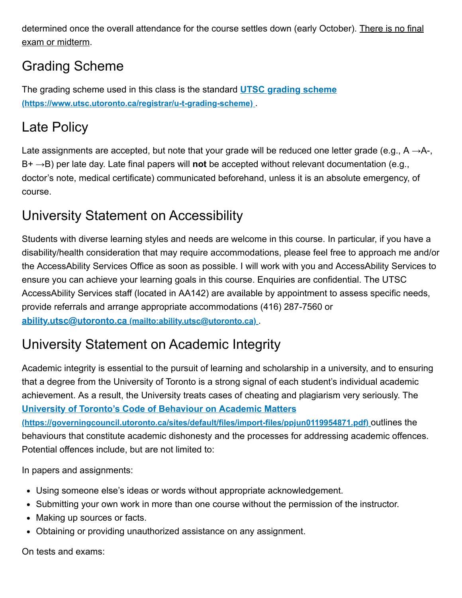determined once the overall attendance for the course settles down (early October). There is no final exam or midterm.

## Grading Scheme

The grading scheme used in this class is the standard **UTSC grading scheme (https://www.utsc.utoronto.ca/registrar/u-t-grading-scheme)** .

#### Late Policy

Late assignments are accepted, but note that your grade will be reduced one letter grade (e.g.,  $A \rightarrow A$ -, B+ →B) per late day. Late final papers will **not** be accepted without relevant documentation (e.g., doctor's note, medical certificate) communicated beforehand, unless it is an absolute emergency, of course.

## University Statement on Accessibility

Students with diverse learning styles and needs are welcome in this course. In particular, if you have a disability/health consideration that may require accommodations, please feel free to approach me and/or the AccessAbility Services Office as soon as possible. I will work with you and AccessAbility Services to ensure you can achieve your learning goals in this course. Enquiries are confidential. The UTSC AccessAbility Services staff (located in AA142) are available by appointment to assess specific needs, provide referrals and arrange appropriate accommodations (416) 287-7560 or **ability.utsc@utoronto.ca (mailto:ability.utsc@utoronto.ca)** .

#### University Statement on Academic Integrity

Academic integrity is essential to the pursuit of learning and scholarship in a university, and to ensuring that a degree from the University of Toronto is a strong signal of each student's individual academic achievement. As a result, the University treats cases of cheating and plagiarism very seriously. The **University of Toronto's Code of Behaviour on Academic Matters (https://governingcouncil.utoronto.ca/sites/default/files/import-files/ppjun0119954871.pdf)** outlines the behaviours that constitute academic dishonesty and the processes for addressing academic offences. Potential offences include, but are not limited to:

In papers and assignments:

- Using someone else's ideas or words without appropriate acknowledgement.
- Submitting your own work in more than one course without the permission of the instructor.
- Making up sources or facts.
- Obtaining or providing unauthorized assistance on any assignment.

On tests and exams: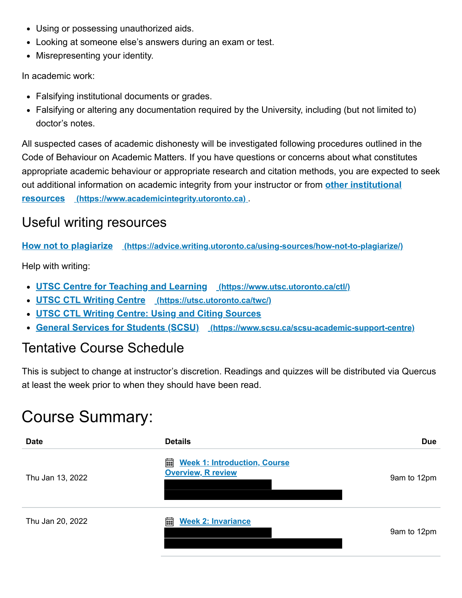- Using or possessing unauthorized aids.
- Looking at someone else's answers during an exam or test.
- Misrepresenting your identity.

In academic work:

- Falsifying institutional documents or grades.
- Falsifying or altering any documentation required by the University, including (but not limited to) doctor's notes.

All suspected cases of academic dishonesty will be investigated following procedures outlined in the Code of Behaviour on Academic Matters. If you have questions or concerns about what constitutes appropriate academic behaviour or appropriate research and citation methods, you are expected to seek out additional information on academic integrity from your instructor or from **other institutional resources (https://www.academicintegrity.utoronto.ca)** .

#### Useful writing resources

**How not to plagiarize (https://advice.writing.utoronto.ca/using-sources/how-not-to-plagiarize/)**

Help with writing:

- **UTSC Centre for Teaching and Learning (https://www.utsc.utoronto.ca/ctl/)**
- **UTSC CTL Writing Centre (https://utsc.utoronto.ca/twc/)**
- **UTSC CTL Writing Centre: Using and Citing Sources**
- **General Services for Students (SCSU) (https://www.scsu.ca/scsu-academic-support-centre)**

#### Tentative Course Schedule

This is subject to change at instructor's discretion. Readings and quizzes will be distributed via Quercus at least the week prior to when they should have been read.

# Course Summary:

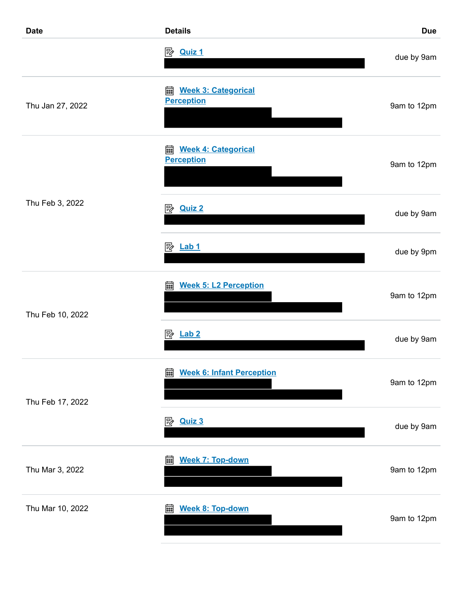